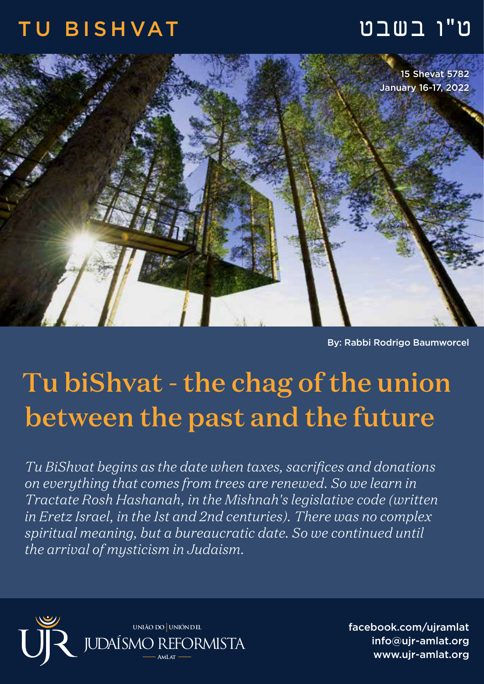## ט"ו בשבט BISHVAT TU



By: Rabbi Rodrigo Baumworcel

## Tu biShvat - the chag of the union between the past and the future

*Tu BiShvat begins as the date when taxes, sacrifices and donations on everything that comes from trees are renewed. So we learn in Tractate Rosh Hashanah, in the Mishnah's legislative code (written in Eretz Israel, in the 1st and 2nd centuries). There was no complex spiritual meaning, but a bureaucratic date. So we continued until the arrival of mysticism in Judaism.*



facebook.com/ujramlat info@ujr-amlat.org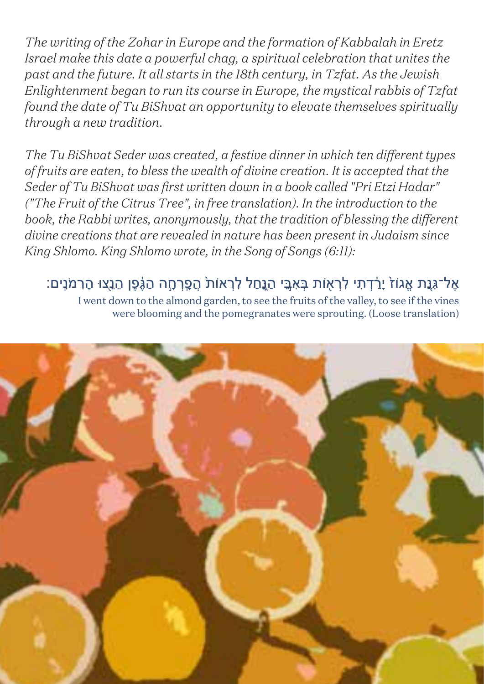*The writing of the Zohar in Europe and the formation of Kabbalah in Eretz Israel make this date a powerful chag, a spiritual celebration that unites the past and the future. It all starts in the 18th century, in Tzfat. As the Jewish Enlightenment began to run its course in Europe, the mystical rabbis of Tzfat found the date of Tu BiShvat an opportunity to elevate themselves spiritually through a new tradition.*

*The Tu BiShvat Seder was created, a festive dinner in which ten different types of fruits are eaten, to bless the wealth of divine creation. It is accepted that the Seder of Tu BiShvat was first written down in a book called "Pri Etzi Hadar" ("The Fruit of the Citrus Tree", in free translation). In the introduction to the book, the Rabbi writes, anonymously, that the tradition of blessing the different divine creations that are revealed in nature has been present in Judaism since King Shlomo. King Shlomo wrote, in the Song of Songs (6:11):*

## ָ אֶל־גְּנֵת אֶגוֹז יָרַדְתִי לְרָאָוֹת בַּאָבֵי הַנַּחַל לְרָאוֹת הַפֶּרְחָה הַגֶּפֶן הֵנֵצוּ הַרְמֹּנֵים:

I went down to the almond garden, to see the fruits of the valley, to see if the vines were blooming and the pomegranates were sprouting. (Loose translation)

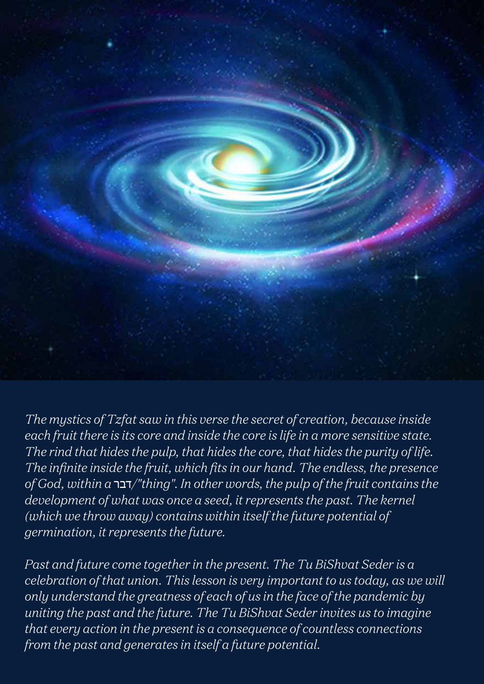

*The mystics of Tzfat saw in this verse the secret of creation, because inside each fruit there is its core and inside the core is life in a more sensitive state. The rind that hides the pulp, that hides the core, that hides the purity of life. The infinite inside the fruit, which fits in our hand. The endless, the presence of God, within a* דבר*/"thing". In other words, the pulp of the fruit contains the development of what was once a seed, it represents the past. The kernel (which we throw away) contains within itself the future potential of germination, it represents the future.*

*Past and future come together in the present. The Tu BiShvat Seder is a celebration of that union. This lesson is very important to us today, as we will only understand the greatness of each of us in the face of the pandemic by uniting the past and the future. The Tu BiShvat Seder invites us to imagine that every action in the present is a consequence of countless connections from the past and generates in itself a future potential.*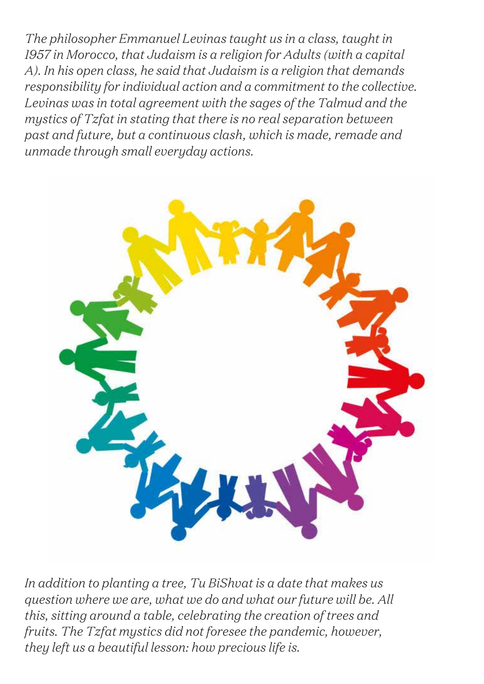*The philosopher Emmanuel Levinas taught us in a class, taught in 1957 in Morocco, that Judaism is a religion for Adults (with a capital A). In his open class, he said that Judaism is a religion that demands responsibility for individual action and a commitment to the collective. Levinas was in total agreement with the sages of the Talmud and the mystics of Tzfat in stating that there is no real separation between past and future, but a continuous clash, which is made, remade and unmade through small everyday actions.*



*In addition to planting a tree, Tu BiShvat is a date that makes us question where we are, what we do and what our future will be. All this, sitting around a table, celebrating the creation of trees and fruits. The Tzfat mystics did not foresee the pandemic, however, they left us a beautiful lesson: how precious life is.*